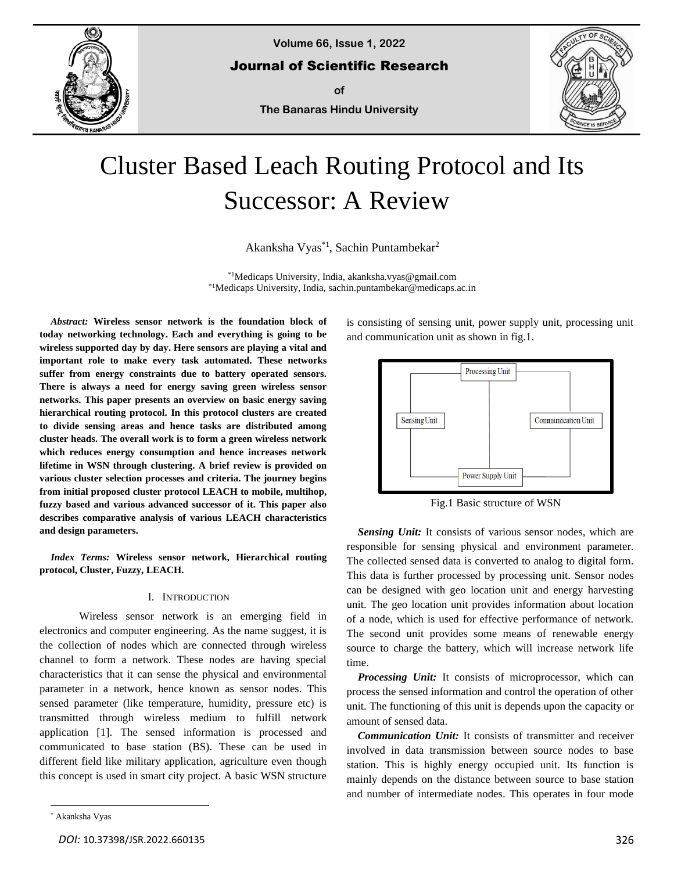

**Volume 66, Issue 1, 2022**

Journal of Scientific Research

**of**

**The Banaras Hindu University**



# Cluster Based Leach Routing Protocol and Its Successor: A Review

Akanksha Vyas<sup>\*1</sup>, Sachin Puntambekar<sup>2</sup>

\*1Medicaps University, India, akanksha.vyas@gmail.com \*1Medicaps University, India, sachin.puntambekar@medicaps.ac.in

*Abstract:* **Wireless sensor network is the foundation block of today networking technology. Each and everything is going to be wireless supported day by day. Here sensors are playing a vital and important role to make every task automated. These networks suffer from energy constraints due to battery operated sensors. There is always a need for energy saving green wireless sensor networks. This paper presents an overview on basic energy saving hierarchical routing protocol. In this protocol clusters are created to divide sensing areas and hence tasks are distributed among cluster heads. The overall work is to form a green wireless network which reduces energy consumption and hence increases network lifetime in WSN through clustering. A brief review is provided on various cluster selection processes and criteria. The journey begins from initial proposed cluster protocol LEACH to mobile, multihop, fuzzy based and various advanced successor of it. This paper also describes comparative analysis of various LEACH characteristics and design parameters.**

*Index Terms:* **Wireless sensor network, Hierarchical routing protocol, Cluster, Fuzzy, LEACH.**

#### I. INTRODUCTION

Wireless sensor network is an emerging field in electronics and computer engineering. As the name suggest, it is the collection of nodes which are connected through wireless channel to form a network. These nodes are having special characteristics that it can sense the physical and environmental parameter in a network, hence known as sensor nodes. This sensed parameter (like temperature, humidity, pressure etc) is transmitted through wireless medium to fulfill network application [1]. The sensed information is processed and communicated to base station (BS). These can be used in different field like military application, agriculture even though this concept is used in smart city project. A basic WSN structure

is consisting of sensing unit, power supply unit, processing unit and communication unit as shown in fig.1.



Fig.1 Basic structure of WSN

Sensing Unit: It consists of various sensor nodes, which are responsible for sensing physical and environment parameter. The collected sensed data is converted to analog to digital form. This data is further processed by processing unit. Sensor nodes can be designed with geo location unit and energy harvesting unit. The geo location unit provides information about location of a node, which is used for effective performance of network. The second unit provides some means of renewable energy source to charge the battery, which will increase network life time.

*Processing Unit:* It consists of microprocessor, which can process the sensed information and control the operation of other unit. The functioning of this unit is depends upon the capacity or amount of sensed data.

*Communication Unit:* It consists of transmitter and receiver involved in data transmission between source nodes to base station. This is highly energy occupied unit. Its function is mainly depends on the distance between source to base station and number of intermediate nodes. This operates in four mode

<sup>\*</sup> Akanksha Vyas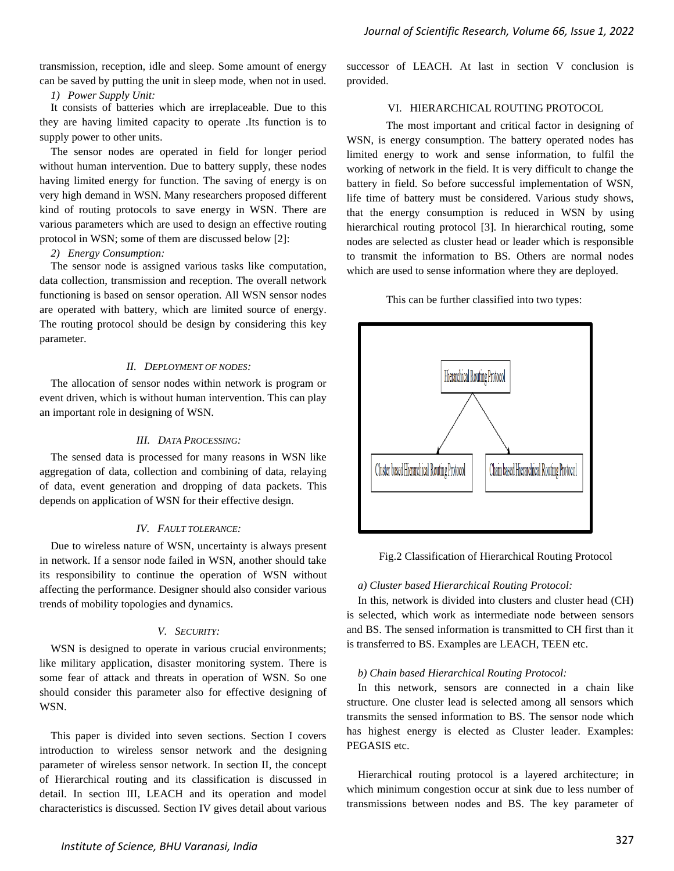transmission, reception, idle and sleep. Some amount of energy can be saved by putting the unit in sleep mode, when not in used.

*1) Power Supply Unit:*

It consists of batteries which are irreplaceable. Due to this they are having limited capacity to operate .Its function is to supply power to other units.

The sensor nodes are operated in field for longer period without human intervention. Due to battery supply, these nodes having limited energy for function. The saving of energy is on very high demand in WSN. Many researchers proposed different kind of routing protocols to save energy in WSN. There are various parameters which are used to design an effective routing protocol in WSN; some of them are discussed below [2]:

*2) Energy Consumption:* 

The sensor node is assigned various tasks like computation, data collection, transmission and reception. The overall network functioning is based on sensor operation. All WSN sensor nodes are operated with battery, which are limited source of energy. The routing protocol should be design by considering this key parameter.

## *II. DEPLOYMENT OF NODES:*

The allocation of sensor nodes within network is program or event driven, which is without human intervention. This can play an important role in designing of WSN.

## *III. DATA PROCESSING:*

The sensed data is processed for many reasons in WSN like aggregation of data, collection and combining of data, relaying of data, event generation and dropping of data packets. This depends on application of WSN for their effective design.

#### *IV. FAULT TOLERANCE:*

Due to wireless nature of WSN, uncertainty is always present in network. If a sensor node failed in WSN, another should take its responsibility to continue the operation of WSN without affecting the performance. Designer should also consider various trends of mobility topologies and dynamics.

## *V. SECURITY:*

WSN is designed to operate in various crucial environments; like military application, disaster monitoring system. There is some fear of attack and threats in operation of WSN. So one should consider this parameter also for effective designing of WSN.

This paper is divided into seven sections. Section I covers introduction to wireless sensor network and the designing parameter of wireless sensor network. In section II, the concept of Hierarchical routing and its classification is discussed in detail. In section III, LEACH and its operation and model characteristics is discussed. Section IV gives detail about various successor of LEACH. At last in section V conclusion is provided.

## VI. HIERARCHICAL ROUTING PROTOCOL

The most important and critical factor in designing of WSN, is energy consumption. The battery operated nodes has limited energy to work and sense information, to fulfil the working of network in the field. It is very difficult to change the battery in field. So before successful implementation of WSN, life time of battery must be considered. Various study shows, that the energy consumption is reduced in WSN by using hierarchical routing protocol [3]. In hierarchical routing, some nodes are selected as cluster head or leader which is responsible to transmit the information to BS. Others are normal nodes which are used to sense information where they are deployed.

This can be further classified into two types:



Fig.2 Classification of Hierarchical Routing Protocol

## *a) Cluster based Hierarchical Routing Protocol:*

In this, network is divided into clusters and cluster head (CH) is selected, which work as intermediate node between sensors and BS. The sensed information is transmitted to CH first than it is transferred to BS. Examples are LEACH, TEEN etc.

## *b) Chain based Hierarchical Routing Protocol:*

In this network, sensors are connected in a chain like structure. One cluster lead is selected among all sensors which transmits the sensed information to BS. The sensor node which has highest energy is elected as Cluster leader. Examples: PEGASIS etc.

Hierarchical routing protocol is a layered architecture; in which minimum congestion occur at sink due to less number of transmissions between nodes and BS. The key parameter of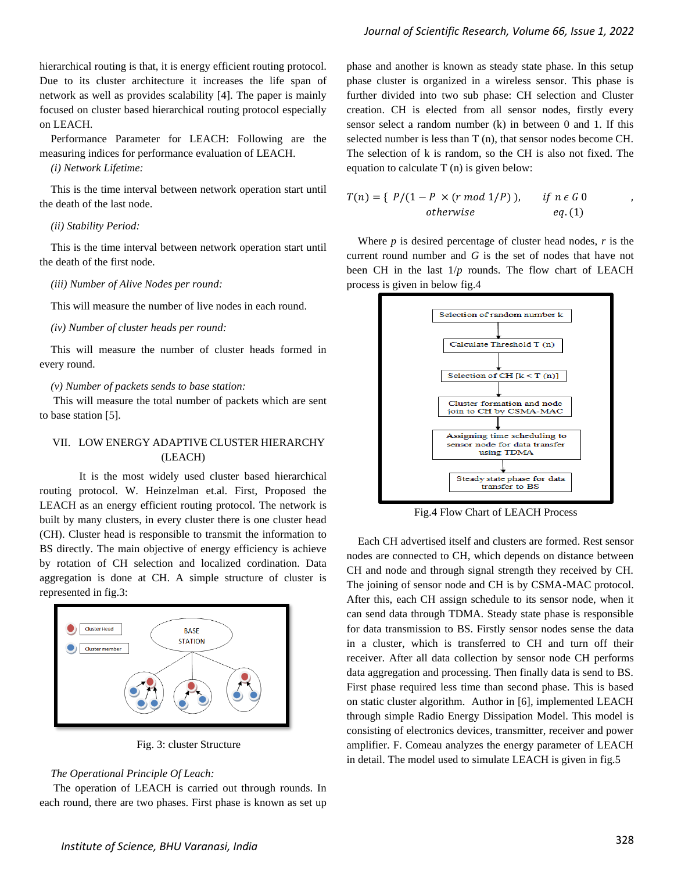hierarchical routing is that, it is energy efficient routing protocol. Due to its cluster architecture it increases the life span of network as well as provides scalability [4]. The paper is mainly focused on cluster based hierarchical routing protocol especially on LEACH.

Performance Parameter for LEACH: Following are the measuring indices for performance evaluation of LEACH.

*(i) Network Lifetime:* 

This is the time interval between network operation start until the death of the last node.

#### *(ii) Stability Period:*

This is the time interval between network operation start until the death of the first node.

#### *(iii) Number of Alive Nodes per round:*

This will measure the number of live nodes in each round.

#### *(iv) Number of cluster heads per round:*

This will measure the number of cluster heads formed in every round.

*(v) Number of packets sends to base station:*

This will measure the total number of packets which are sent to base station [5].

## VII. LOW ENERGY ADAPTIVE CLUSTER HIERARCHY (LEACH)

It is the most widely used cluster based hierarchical routing protocol. W. Heinzelman et.al. First, Proposed the LEACH as an energy efficient routing protocol. The network is built by many clusters, in every cluster there is one cluster head (CH). Cluster head is responsible to transmit the information to BS directly. The main objective of energy efficiency is achieve by rotation of CH selection and localized cordination. Data aggregation is done at CH. A simple structure of cluster is represented in fig.3:



Fig. 3: cluster Structure

#### *The Operational Principle Of Leach:*

The operation of LEACH is carried out through rounds. In each round, there are two phases. First phase is known as set up phase and another is known as steady state phase. In this setup phase cluster is organized in a wireless sensor. This phase is further divided into two sub phase: CH selection and Cluster creation. CH is elected from all sensor nodes, firstly every sensor select a random number (k) in between 0 and 1. If this selected number is less than T (n), that sensor nodes become CH. The selection of k is random, so the CH is also not fixed. The equation to calculate T (n) is given below:

$$
T(n) = \{ P/(1 - P \times (r \mod 1/P)), \text{ if } n \in G \text{ 0} \newline \text{otherwise} \qquad eq. (1)
$$

Where  $p$  is desired percentage of cluster head nodes,  $r$  is the current round number and *G* is the set of nodes that have not been CH in the last 1/*p* rounds. The flow chart of LEACH process is given in below fig.4



Fig.4 Flow Chart of LEACH Process

Each CH advertised itself and clusters are formed. Rest sensor nodes are connected to CH, which depends on distance between CH and node and through signal strength they received by CH. The joining of sensor node and CH is by CSMA-MAC protocol. After this, each CH assign schedule to its sensor node, when it can send data through TDMA. Steady state phase is responsible for data transmission to BS. Firstly sensor nodes sense the data in a cluster, which is transferred to CH and turn off their receiver. After all data collection by sensor node CH performs data aggregation and processing. Then finally data is send to BS. First phase required less time than second phase. This is based on static cluster algorithm. Author in [6], implemented LEACH through simple Radio Energy Dissipation Model. This model is consisting of electronics devices, transmitter, receiver and power amplifier. F. Comeau analyzes the energy parameter of LEACH in detail. The model used to simulate LEACH is given in fig.5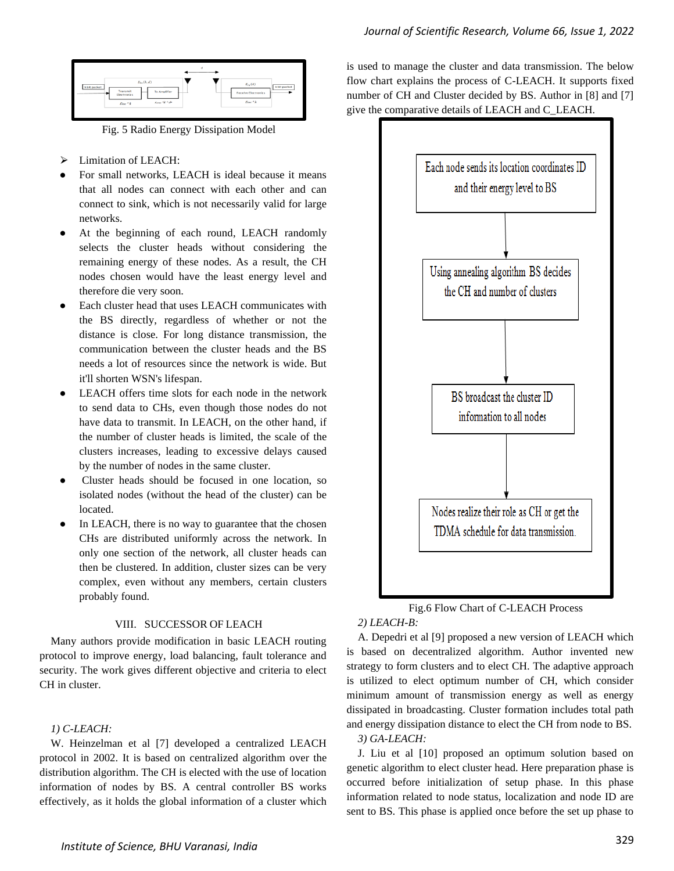

Fig. 5 Radio Energy Dissipation Model

- Limitation of LEACH:
- For small networks, LEACH is ideal because it means that all nodes can connect with each other and can connect to sink, which is not necessarily valid for large networks.
- At the beginning of each round, LEACH randomly selects the cluster heads without considering the remaining energy of these nodes. As a result, the CH nodes chosen would have the least energy level and therefore die very soon.
- Each cluster head that uses LEACH communicates with the BS directly, regardless of whether or not the distance is close. For long distance transmission, the communication between the cluster heads and the BS needs a lot of resources since the network is wide. But it'll shorten WSN's lifespan.
- LEACH offers time slots for each node in the network to send data to CHs, even though those nodes do not have data to transmit. In LEACH, on the other hand, if the number of cluster heads is limited, the scale of the clusters increases, leading to excessive delays caused by the number of nodes in the same cluster.
- Cluster heads should be focused in one location, so isolated nodes (without the head of the cluster) can be located.
- In LEACH, there is no way to guarantee that the chosen CHs are distributed uniformly across the network. In only one section of the network, all cluster heads can then be clustered. In addition, cluster sizes can be very complex, even without any members, certain clusters probably found.

## VIII. SUCCESSOR OF LEACH

Many authors provide modification in basic LEACH routing protocol to improve energy, load balancing, fault tolerance and security. The work gives different objective and criteria to elect CH in cluster.

## *1) C-LEACH:*

W. Heinzelman et al [7] developed a centralized LEACH protocol in 2002. It is based on centralized algorithm over the distribution algorithm. The CH is elected with the use of location information of nodes by BS. A central controller BS works effectively, as it holds the global information of a cluster which is used to manage the cluster and data transmission. The below flow chart explains the process of C-LEACH. It supports fixed number of CH and Cluster decided by BS. Author in [8] and [7] give the comparative details of LEACH and C\_LEACH.



# Fig.6 Flow Chart of C-LEACH Process

## *2) LEACH-B:*

A. Depedri et al [9] proposed a new version of LEACH which is based on decentralized algorithm. Author invented new strategy to form clusters and to elect CH. The adaptive approach is utilized to elect optimum number of CH, which consider minimum amount of transmission energy as well as energy dissipated in broadcasting. Cluster formation includes total path and energy dissipation distance to elect the CH from node to BS. *3) GA-LEACH:* 

J. Liu et al [10] proposed an optimum solution based on genetic algorithm to elect cluster head. Here preparation phase is occurred before initialization of setup phase. In this phase information related to node status, localization and node ID are sent to BS. This phase is applied once before the set up phase to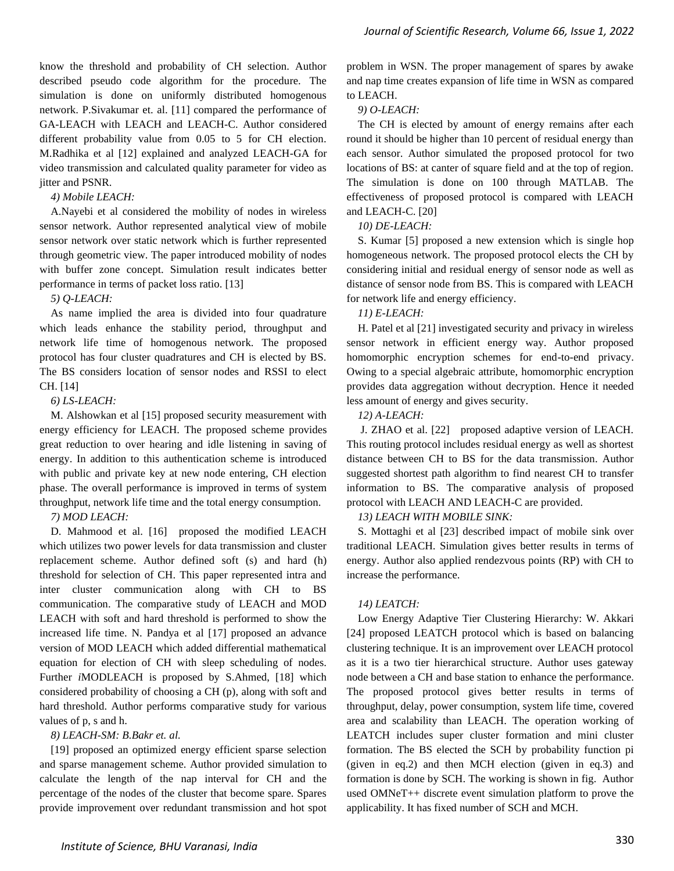know the threshold and probability of CH selection. Author described pseudo code algorithm for the procedure. The simulation is done on uniformly distributed homogenous network. P.Sivakumar et. al. [11] compared the performance of GA-LEACH with LEACH and LEACH-C. Author considered different probability value from 0.05 to 5 for CH election. M.Radhika et al [12] explained and analyzed LEACH-GA for video transmission and calculated quality parameter for video as jitter and PSNR.

#### *4) Mobile LEACH:*

A.Nayebi et al considered the mobility of nodes in wireless sensor network. Author represented analytical view of mobile sensor network over static network which is further represented through geometric view. The paper introduced mobility of nodes with buffer zone concept. Simulation result indicates better performance in terms of packet loss ratio. [13]

#### *5) Q-LEACH:*

As name implied the area is divided into four quadrature which leads enhance the stability period, throughput and network life time of homogenous network. The proposed protocol has four cluster quadratures and CH is elected by BS. The BS considers location of sensor nodes and RSSI to elect CH. [14]

## *6) LS-LEACH:*

M. Alshowkan et al [15] proposed security measurement with energy efficiency for LEACH. The proposed scheme provides great reduction to over hearing and idle listening in saving of energy. In addition to this authentication scheme is introduced with public and private key at new node entering, CH election phase. The overall performance is improved in terms of system throughput, network life time and the total energy consumption.

#### *7) MOD LEACH:*

D. Mahmood et al. [16] proposed the modified LEACH which utilizes two power levels for data transmission and cluster replacement scheme. Author defined soft (s) and hard (h) threshold for selection of CH. This paper represented intra and inter cluster communication along with CH to BS communication. The comparative study of LEACH and MOD LEACH with soft and hard threshold is performed to show the increased life time. N. Pandya et al [17] proposed an advance version of MOD LEACH which added differential mathematical equation for election of CH with sleep scheduling of nodes. Further *i*MODLEACH is proposed by S.Ahmed, [18] which considered probability of choosing a CH (p), along with soft and hard threshold. Author performs comparative study for various values of p, s and h.

## *8) LEACH-SM: B.Bakr et. al.*

[19] proposed an optimized energy efficient sparse selection and sparse management scheme. Author provided simulation to calculate the length of the nap interval for CH and the percentage of the nodes of the cluster that become spare. Spares provide improvement over redundant transmission and hot spot problem in WSN. The proper management of spares by awake and nap time creates expansion of life time in WSN as compared to LEACH.

## *9) O-LEACH:*

The CH is elected by amount of energy remains after each round it should be higher than 10 percent of residual energy than each sensor. Author simulated the proposed protocol for two locations of BS: at canter of square field and at the top of region. The simulation is done on 100 through MATLAB. The effectiveness of proposed protocol is compared with LEACH and LEACH-C. [20]

## *10) DE-LEACH:*

S. Kumar [5] proposed a new extension which is single hop homogeneous network. The proposed protocol elects the CH by considering initial and residual energy of sensor node as well as distance of sensor node from BS. This is compared with LEACH for network life and energy efficiency.

## *11) E-LEACH:*

H. Patel et al [21] investigated security and privacy in wireless sensor network in efficient energy way. Author proposed homomorphic encryption schemes for end-to-end privacy. Owing to a special algebraic attribute, homomorphic encryption provides data aggregation without decryption. Hence it needed less amount of energy and gives security.

## *12) A-LEACH:*

J. ZHAO et al. [22] proposed adaptive version of LEACH. This routing protocol includes residual energy as well as shortest distance between CH to BS for the data transmission. Author suggested shortest path algorithm to find nearest CH to transfer information to BS. The comparative analysis of proposed protocol with LEACH AND LEACH-C are provided.

## *13) LEACH WITH MOBILE SINK:*

S. Mottaghi et al [23] described impact of mobile sink over traditional LEACH. Simulation gives better results in terms of energy. Author also applied rendezvous points (RP) with CH to increase the performance.

## *14) LEATCH:*

Low Energy Adaptive Tier Clustering Hierarchy: W. Akkari [24] proposed LEATCH protocol which is based on balancing clustering technique. It is an improvement over LEACH protocol as it is a two tier hierarchical structure. Author uses gateway node between a CH and base station to enhance the performance. The proposed protocol gives better results in terms of throughput, delay, power consumption, system life time, covered area and scalability than LEACH. The operation working of LEATCH includes super cluster formation and mini cluster formation. The BS elected the SCH by probability function pi (given in eq.2) and then MCH election (given in eq.3) and formation is done by SCH. The working is shown in fig. Author used OMNeT++ discrete event simulation platform to prove the applicability. It has fixed number of SCH and MCH.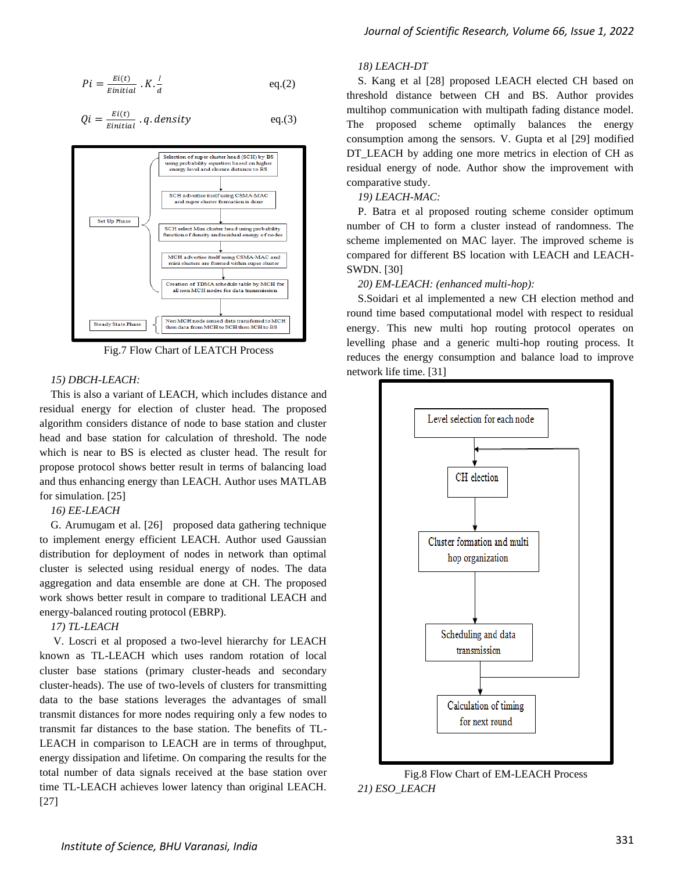$$
Pi = \frac{Ei(t)}{Einitial} \cdot K \cdot \frac{l}{d} \qquad \qquad \text{eq.}(2)
$$

$$
Qi = \frac{Ei(t)}{Einitial} \cdot q \cdot density \qquad \qquad eq.(3)
$$



Fig.7 Flow Chart of LEATCH Process

#### *15) DBCH-LEACH:*

This is also a variant of LEACH, which includes distance and residual energy for election of cluster head. The proposed algorithm considers distance of node to base station and cluster head and base station for calculation of threshold. The node which is near to BS is elected as cluster head. The result for propose protocol shows better result in terms of balancing load and thus enhancing energy than LEACH. Author uses MATLAB for simulation. [25]

## *16) EE-LEACH*

G. Arumugam et al. [26] proposed data gathering technique to implement energy efficient LEACH. Author used Gaussian distribution for deployment of nodes in network than optimal cluster is selected using residual energy of nodes. The data aggregation and data ensemble are done at CH. The proposed work shows better result in compare to traditional LEACH and energy-balanced routing protocol (EBRP).

#### *17) TL-LEACH*

V. Loscri et al proposed a two-level hierarchy for LEACH known as TL-LEACH which uses random rotation of local cluster base stations (primary cluster-heads and secondary cluster-heads). The use of two-levels of clusters for transmitting data to the base stations leverages the advantages of small transmit distances for more nodes requiring only a few nodes to transmit far distances to the base station. The benefits of TL-LEACH in comparison to LEACH are in terms of throughput, energy dissipation and lifetime. On comparing the results for the total number of data signals received at the base station over time TL-LEACH achieves lower latency than original LEACH. [27]

#### *18) LEACH-DT*

S. Kang et al [28] proposed LEACH elected CH based on threshold distance between CH and BS. Author provides multihop communication with multipath fading distance model. The proposed scheme optimally balances the energy consumption among the sensors. V. Gupta et al [29] modified DT\_LEACH by adding one more metrics in election of CH as residual energy of node. Author show the improvement with comparative study.

#### *19) LEACH-MAC:*

P. Batra et al proposed routing scheme consider optimum number of CH to form a cluster instead of randomness. The scheme implemented on MAC layer. The improved scheme is compared for different BS location with LEACH and LEACH-SWDN. [30]

#### *20) EM-LEACH: (enhanced multi-hop):*

S.Soidari et al implemented a new CH election method and round time based computational model with respect to residual energy. This new multi hop routing protocol operates on levelling phase and a generic multi-hop routing process. It reduces the energy consumption and balance load to improve network life time. [31]



Fig.8 Flow Chart of EM-LEACH Process *21) ESO\_LEACH*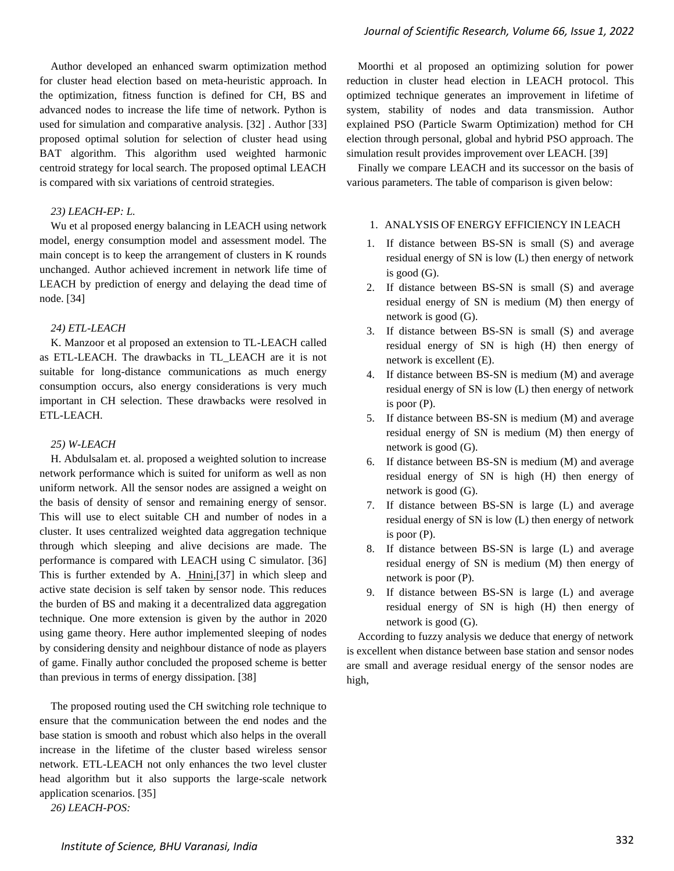Author developed an enhanced swarm optimization method for cluster head election based on meta-heuristic approach. In the optimization, fitness function is defined for CH, BS and advanced nodes to increase the life time of network. Python is used for simulation and comparative analysis. [32] . Author [33] proposed optimal solution for selection of cluster head using BAT algorithm. This algorithm used weighted harmonic centroid strategy for local search. The proposed optimal LEACH is compared with six variations of centroid strategies.

#### *23) LEACH-EP: L.*

Wu et al proposed energy balancing in LEACH using network model, energy consumption model and assessment model. The main concept is to keep the arrangement of clusters in K rounds unchanged. Author achieved increment in network life time of LEACH by prediction of energy and delaying the dead time of node. [34]

#### *24) ETL-LEACH*

K. Manzoor et al proposed an extension to TL-LEACH called as ETL-LEACH. The drawbacks in TL\_LEACH are it is not suitable for long-distance communications as much energy consumption occurs, also energy considerations is very much important in CH selection. These drawbacks were resolved in ETL-LEACH.

#### *25) W-LEACH*

H. Abdulsalam et. al. proposed a weighted solution to increase network performance which is suited for uniform as well as non uniform network. All the sensor nodes are assigned a weight on the basis of density of sensor and remaining energy of sensor. This will use to elect suitable CH and number of nodes in a cluster. It uses centralized weighted data aggregation technique through which sleeping and alive decisions are made. The performance is compared with LEACH using C simulator. [36] This is further extended by A. [Hnini,](https://www.researchgate.net/profile/Abdelhalim_Hnini?_iepl%5BgeneralViewId%5D=iCFj5DC8LntLU0clKnPflMusavD2zNj1cLoE&_iepl%5Bcontexts%5D%5B0%5D=searchReact&_iepl%5BviewId%5D=6u8s8DGbdX62rJph9WLsI0Hv3N1ARcM7pOS2&_iepl%5BsearchType%5D=publication&_iepl%5Bdata%5D%5BcountLessEqual20%5D=1&_iepl%5Bdata%5D%5BinteractedWithPosition1%5D=1&_iepl%5Bdata%5D%5BwithEnrichment%5D=1&_iepl%5Bposition%5D=1&_iepl%5BrgKey%5D=PB%3A274129115&_iepl%5BtargetEntityId%5D=PB%3A274129115&_iepl%5BinteractionType%5D=publicationViewCoAuthorProfile)[37] in which sleep and active state decision is self taken by sensor node. This reduces the burden of BS and making it a decentralized data aggregation technique. One more extension is given by the author in 2020 using game theory. Here author implemented sleeping of nodes by considering density and neighbour distance of node as players of game. Finally author concluded the proposed scheme is better than previous in terms of energy dissipation. [38]

The proposed routing used the CH switching role technique to ensure that the communication between the end nodes and the base station is smooth and robust which also helps in the overall increase in the lifetime of the cluster based wireless sensor network. ETL-LEACH not only enhances the two level cluster head algorithm but it also supports the large-scale network application scenarios. [35]

*26) LEACH-POS:* 

Moorthi et al proposed an optimizing solution for power reduction in cluster head election in LEACH protocol. This optimized technique generates an improvement in lifetime of system, stability of nodes and data transmission. Author explained PSO (Particle Swarm Optimization) method for CH election through personal, global and hybrid PSO approach. The simulation result provides improvement over LEACH. [39]

Finally we compare LEACH and its successor on the basis of various parameters. The table of comparison is given below:

## 1. ANALYSIS OF ENERGY EFFICIENCY IN LEACH

- 1. If distance between BS-SN is small (S) and average residual energy of SN is low (L) then energy of network is good (G).
- 2. If distance between BS-SN is small (S) and average residual energy of SN is medium (M) then energy of network is good (G).
- 3. If distance between BS-SN is small (S) and average residual energy of SN is high (H) then energy of network is excellent (E).
- 4. If distance between BS-SN is medium (M) and average residual energy of SN is low (L) then energy of network is poor (P).
- 5. If distance between BS-SN is medium (M) and average residual energy of SN is medium (M) then energy of network is good (G).
- 6. If distance between BS-SN is medium (M) and average residual energy of SN is high (H) then energy of network is good (G).
- 7. If distance between BS-SN is large (L) and average residual energy of SN is low (L) then energy of network is poor (P).
- 8. If distance between BS-SN is large (L) and average residual energy of SN is medium (M) then energy of network is poor (P).
- 9. If distance between BS-SN is large (L) and average residual energy of SN is high (H) then energy of network is good (G).

According to fuzzy analysis we deduce that energy of network is excellent when distance between base station and sensor nodes are small and average residual energy of the sensor nodes are high,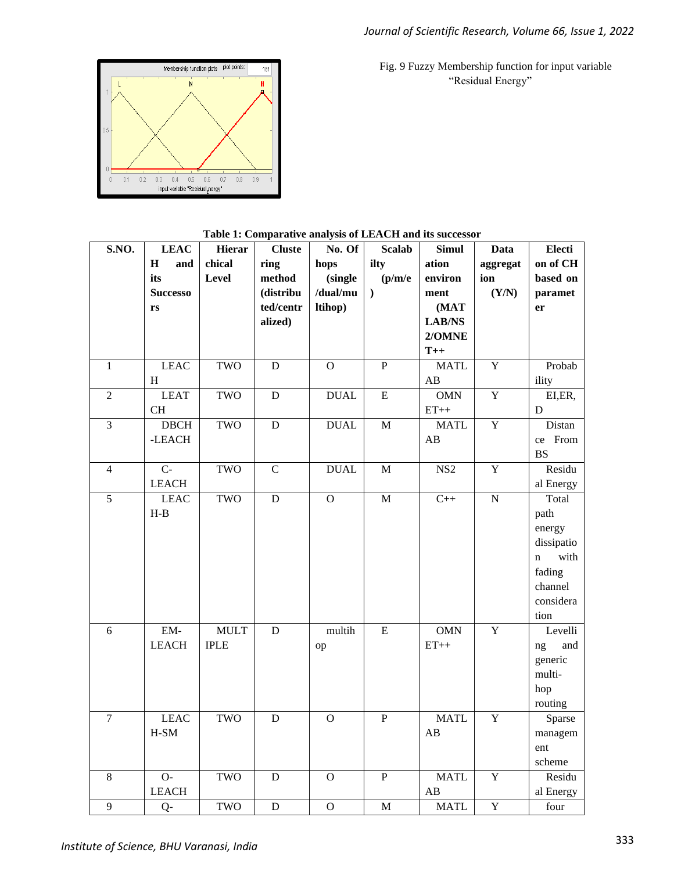Fig. 9 Fuzzy Membership function for input variable "Residual Energy"



ł

|                |                 | $\ldots$      |                | <b>MAY DED OF EARLY</b> |                |                 |                |                     |
|----------------|-----------------|---------------|----------------|-------------------------|----------------|-----------------|----------------|---------------------|
| S.NO.          | <b>LEAC</b>     | <b>Hierar</b> | <b>Cluste</b>  | No. Of                  | <b>Scalab</b>  | <b>Simul</b>    | <b>Data</b>    | Electi              |
|                | $\bf H$<br>and  | chical        | ring           | hops                    | ilty           | ation           | aggregat       | on of CH            |
|                | its             | Level         | method         | (single                 | (p/m/e)        | environ         | ion            | based on            |
|                | <b>Successo</b> |               | (distribu      | /dual/mu                | $\lambda$      | ment            | (Y/N)          | paramet             |
|                | rs              |               | ted/centr      | ltihop)                 |                | (MAT            |                | er                  |
|                |                 |               | alized)        |                         |                | LAB/NS          |                |                     |
|                |                 |               |                |                         |                | 2/OMNE          |                |                     |
|                |                 |               |                |                         |                | $T++$           |                |                     |
| $\mathbf{1}$   | <b>LEAC</b>     | TWO           | D              | $\overline{O}$          | $\overline{P}$ | <b>MATL</b>     | $\overline{Y}$ | Probab              |
|                | H               |               |                |                         |                | AB              |                | ility               |
| $\overline{2}$ | <b>LEAT</b>     | TWO           | $\overline{D}$ | <b>DUAL</b>             | $\overline{E}$ | <b>OMN</b>      | $\overline{Y}$ | EI,ER,              |
|                | CH              |               |                |                         |                | $ET++$          |                | D                   |
| $\overline{3}$ | <b>DBCH</b>     | TWO           | $\mathbf D$    | $\mathbf{DUAL}$         | $\mathbf M$    | <b>MATL</b>     | $\overline{Y}$ | Distan              |
|                | -LEACH          |               |                |                         |                | AB              |                | ce From             |
|                |                 |               |                |                         |                |                 |                | <b>BS</b>           |
| $\overline{4}$ | $C -$           | TWO           | $\mathbf C$    | <b>DUAL</b>             | M              | NS <sub>2</sub> | $\mathbf Y$    | Residu              |
|                | <b>LEACH</b>    |               |                |                         |                |                 |                | al Energy           |
| 5              | <b>LEAC</b>     | TWO           | ${\bf D}$      | $\mathbf O$             | M              | $C++$           | ${\bf N}$      | Total               |
|                | $H-B$           |               |                |                         |                |                 |                | path                |
|                |                 |               |                |                         |                |                 |                | energy              |
|                |                 |               |                |                         |                |                 |                | dissipatio          |
|                |                 |               |                |                         |                |                 |                | with<br>$\mathbf n$ |
|                |                 |               |                |                         |                |                 |                | fading              |
|                |                 |               |                |                         |                |                 |                | channel             |
|                |                 |               |                |                         |                |                 |                | considera           |
|                |                 |               |                |                         |                |                 |                | tion                |
| 6              | EM-             | <b>MULT</b>   | $\mathbf D$    | multih                  | ${\bf E}$      | <b>OMN</b>      | $\overline{Y}$ | Levelli             |
|                | <b>LEACH</b>    | <b>IPLE</b>   |                | op                      |                | $ET++$          |                | ng<br>and           |
|                |                 |               |                |                         |                |                 |                | generic             |
|                |                 |               |                |                         |                |                 |                | multi-              |
|                |                 |               |                |                         |                |                 |                | hop                 |
|                |                 |               |                |                         |                |                 |                | routing             |
| $\overline{7}$ | <b>LEAC</b>     | TWO           | D              | $\mathbf{O}$            | $\mathbf{P}$   | <b>MATL</b>     | $\overline{Y}$ | Sparse              |
|                | $H-SM$          |               |                |                         |                | AB              |                | managem             |
|                |                 |               |                |                         |                |                 |                | ent                 |
|                |                 |               |                |                         |                |                 |                | scheme              |
| 8              | $O-$            | TWO           | $\mathbf D$    | $\mathbf O$             | $\overline{P}$ | <b>MATL</b>     | $\mathbf Y$    | Residu              |
|                | <b>LEACH</b>    |               |                |                         |                | AB              |                | al Energy           |
| 9              | $O-$            | TWO           | D              | $\Omega$                | M              | <b>MATL</b>     | Y              | four                |

|  | Table 1: Comparative analysis of LEACH and its successor |
|--|----------------------------------------------------------|
|--|----------------------------------------------------------|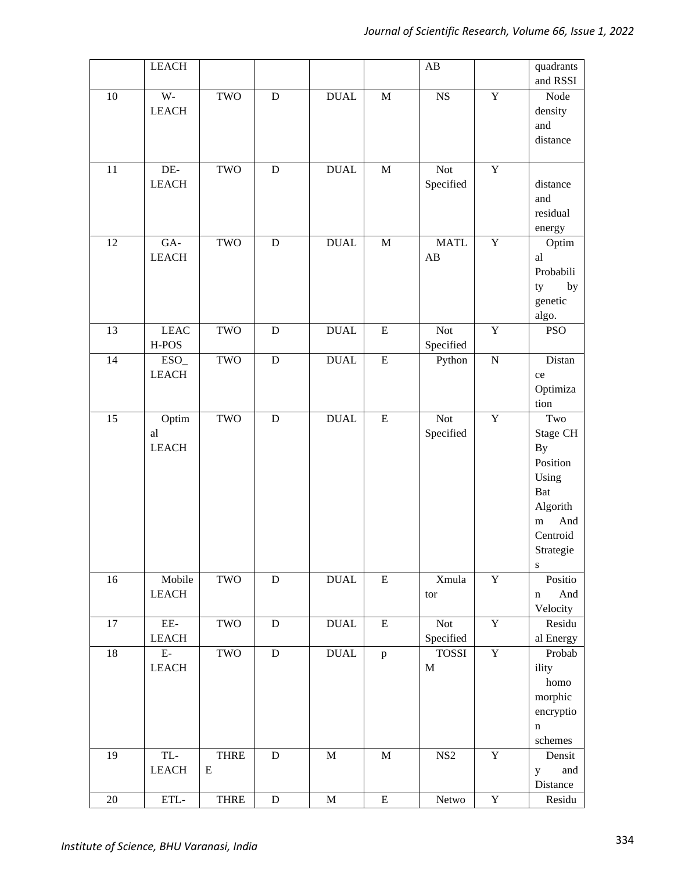|                 | <b>LEACH</b>     |             |             |                 |                | $\mathbf{A}\mathbf{B}$ |                         | quadrants          |
|-----------------|------------------|-------------|-------------|-----------------|----------------|------------------------|-------------------------|--------------------|
|                 |                  |             |             |                 |                |                        |                         | and RSSI           |
| $\overline{10}$ | $\overline{W}$ - | TWO         | $\mathbf D$ | <b>DUAL</b>     | $\mathbf M$    | $\overline{\text{NS}}$ | $\overline{Y}$          | Node               |
|                 | <b>LEACH</b>     |             |             |                 |                |                        |                         | density            |
|                 |                  |             |             |                 |                |                        |                         | and                |
|                 |                  |             |             |                 |                |                        |                         | distance           |
|                 |                  |             |             |                 |                |                        |                         |                    |
| 11              | DE-              | <b>TWO</b>  | $\mathbf D$ | <b>DUAL</b>     | $\mathbf M$    | Not                    | $\mathbf Y$             |                    |
|                 | <b>LEACH</b>     |             |             |                 |                | Specified              |                         | distance           |
|                 |                  |             |             |                 |                |                        |                         | and                |
|                 |                  |             |             |                 |                |                        |                         | residual           |
|                 |                  |             |             |                 |                |                        |                         | energy             |
| 12              | GA-              | <b>TWO</b>  | $\mathbf D$ | <b>DUAL</b>     | $\mathbf M$    | <b>MATL</b>            | $\overline{Y}$          | Optim              |
|                 | <b>LEACH</b>     |             |             |                 |                | AB                     |                         | al                 |
|                 |                  |             |             |                 |                |                        |                         | Probabili          |
|                 |                  |             |             |                 |                |                        |                         | by<br>ty           |
|                 |                  |             |             |                 |                |                        |                         | genetic            |
|                 |                  |             |             |                 |                |                        |                         | algo.              |
| 13              | <b>LEAC</b>      | TWO         | ${\bf D}$   | <b>DUAL</b>     | $\overline{E}$ | <b>Not</b>             | $\overline{Y}$          | <b>PSO</b>         |
|                 | H-POS            |             |             |                 |                | Specified              |                         |                    |
| 14              | $\overline{ESO}$ | TWO         | ${\bf D}$   | <b>DUAL</b>     | ${\bf E}$      | Python                 | ${\bf N}$               | Distan             |
|                 | <b>LEACH</b>     |             |             |                 |                |                        |                         | ce                 |
|                 |                  |             |             |                 |                |                        |                         | Optimiza           |
|                 |                  |             |             |                 |                |                        |                         | tion               |
| 15              | Optim            | <b>TWO</b>  | ${\bf D}$   | <b>DUAL</b>     | ${\bf E}$      | Not                    | $\overline{Y}$          | Two                |
|                 | al               |             |             |                 |                | Specified              |                         | Stage CH           |
|                 | <b>LEACH</b>     |             |             |                 |                |                        |                         | <b>By</b>          |
|                 |                  |             |             |                 |                |                        |                         | Position           |
|                 |                  |             |             |                 |                |                        |                         | Using              |
|                 |                  |             |             |                 |                |                        |                         | Bat                |
|                 |                  |             |             |                 |                |                        |                         | Algorith           |
|                 |                  |             |             |                 |                |                        |                         | And<br>${\bf m}$   |
|                 |                  |             |             |                 |                |                        |                         | Centroid           |
|                 |                  |             |             |                 |                |                        |                         | Strategie          |
|                 |                  |             |             |                 |                |                        |                         | ${\bf S}$          |
| 16              | Mobile           | TWO         | ${\bf D}$   | <b>DUAL</b>     | ${\bf E}$      | Xmula                  | $\mathbf Y$             | Positio            |
|                 | ${\rm LEACH}$    |             |             |                 |                | tor                    |                         | And<br>$\mathbf n$ |
|                 |                  |             |             |                 |                |                        |                         | Velocity           |
| 17              | $\rm{EE}$        | TWO         | $\mathbf D$ | <b>DUAL</b>     | ${\bf E}$      | <b>Not</b>             | $\overline{Y}$          | Residu             |
|                 | <b>LEACH</b>     |             |             |                 |                | Specified              |                         | al Energy          |
| 18              | ${\rm E}$        | TWO         | $\mathbf D$ | $\mathbf{DUAL}$ | $\, {\bf p}$   | <b>TOSSI</b>           | $\overline{Y}$          | Probab             |
|                 | <b>LEACH</b>     |             |             |                 |                | $\mathbf M$            |                         | ility              |
|                 |                  |             |             |                 |                |                        |                         | homo               |
|                 |                  |             |             |                 |                |                        |                         | morphic            |
|                 |                  |             |             |                 |                |                        |                         | encryptio          |
|                 |                  |             |             |                 |                |                        |                         | $\mathbf n$        |
|                 |                  |             |             |                 |                |                        |                         | $\rm schemes$      |
| 19              | $\mbox{TL}$ -    | THRE        | ${\bf D}$   | $\mathbf M$     | $\mathbf M$    | NS <sub>2</sub>        | $\overline{Y}$          | Densit             |
|                 | <b>LEACH</b>     | E           |             |                 |                |                        |                         | and<br>y           |
|                 |                  |             |             |                 |                |                        |                         | Distance           |
| $20\,$          | $\mbox{ETL-}$    | <b>THRE</b> | ${\bf D}$   | $\mathbf M$     | ${\bf E}$      | Netwo                  | $\overline{\mathbf{Y}}$ | Residu             |
|                 |                  |             |             |                 |                |                        |                         |                    |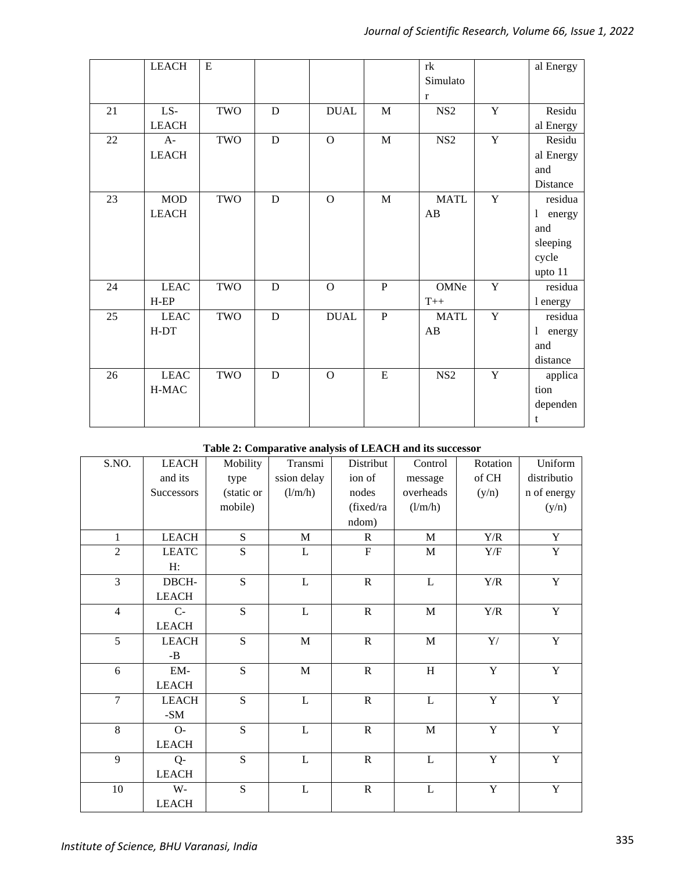|    | <b>LEACH</b> | E   |             |                |              | rk              |                | al Energy |
|----|--------------|-----|-------------|----------------|--------------|-----------------|----------------|-----------|
|    |              |     |             |                |              | Simulato        |                |           |
|    |              |     |             |                |              | $\bf r$         |                |           |
| 21 | LS-          | TWO | D           | <b>DUAL</b>    | M            | NS <sub>2</sub> | $\mathbf Y$    | Residu    |
|    | <b>LEACH</b> |     |             |                |              |                 |                | al Energy |
| 22 | $A-$         | TWO | ${\bf D}$   | $\mathbf{O}$   | $\mathbf{M}$ | NS <sub>2</sub> | $\overline{Y}$ | Residu    |
|    | <b>LEACH</b> |     |             |                |              |                 |                | al Energy |
|    |              |     |             |                |              |                 |                | and       |
|    |              |     |             |                |              |                 |                | Distance  |
| 23 | <b>MOD</b>   | TWO | D           | $\Omega$       | M            | <b>MATL</b>     | Y              | residua   |
|    | <b>LEACH</b> |     |             |                |              | AB              |                | 1 energy  |
|    |              |     |             |                |              |                 |                | and       |
|    |              |     |             |                |              |                 |                | sleeping  |
|    |              |     |             |                |              |                 |                | cycle     |
|    |              |     |             |                |              |                 |                | upto 11   |
| 24 | <b>LEAC</b>  | TWO | D           | $\Omega$       | $\mathbf{P}$ | OMNe            | $\mathbf Y$    | residua   |
|    | $H-EP$       |     |             |                |              | $T++$           |                | 1 energy  |
| 25 | <b>LEAC</b>  | TWO | D           | <b>DUAL</b>    | $\mathbf{P}$ | <b>MATL</b>     | $\mathbf Y$    | residua   |
|    | $H-DT$       |     |             |                |              | AB              |                | 1 energy  |
|    |              |     |             |                |              |                 |                | and       |
|    |              |     |             |                |              |                 |                | distance  |
| 26 | <b>LEAC</b>  | TWO | $\mathbf D$ | $\overline{O}$ | $\mathbf E$  | NS <sub>2</sub> | $\overline{Y}$ | applica   |
|    | H-MAC        |     |             |                |              |                 |                | tion      |
|    |              |     |             |                |              |                 |                | dependen  |
|    |              |     |             |                |              |                 |                | t         |
|    |              |     |             |                |              |                 |                |           |

# **Table 2: Comparative analysis of LEACH and its successor**

| S.NO.          | <b>LEACH</b>          | Mobility       | Transmi        | Distribut      | Control        | Rotation                  | Uniform        |
|----------------|-----------------------|----------------|----------------|----------------|----------------|---------------------------|----------------|
|                | and its               | type           | ssion delay    | ion of         | message        | of CH                     | distributio    |
|                | Successors            | (static or     | (l/m/h)        | nodes          | overheads      | (y/n)                     | n of energy    |
|                |                       | mobile)        |                | (fixed/ra      | (l/m/h)        |                           | (y/n)          |
|                |                       |                |                | ndom)          |                |                           |                |
| 1              | <b>LEACH</b>          | S              | $\mathbf M$    | $\mathbb{R}$   | $\mathbf M$    | $\mathbf{Y}/\mathbf{R}$   | $\mathbf Y$    |
| $\overline{2}$ | <b>LEATC</b>          | S              | L              | $\mathbf F$    | $\mathbf M$    | $\rm Y/F$                 | $\mathbf Y$    |
|                | H:                    |                |                |                |                |                           |                |
| $\overline{3}$ | DBCH-                 | $\overline{S}$ | $\overline{L}$ | $\overline{R}$ | $\overline{L}$ | $\mathbf{Y}/\mathbf{R}$   | $\overline{Y}$ |
|                | <b>LEACH</b>          |                |                |                |                |                           |                |
| $\overline{4}$ | $C-$                  | ${\bf S}$      | L              | ${\bf R}$      | $\mathbf M$    | $\mathbf{Y}/\mathbf{R}$   | $\mathbf Y$    |
|                | <b>LEACH</b>          |                |                |                |                |                           |                |
| $\overline{5}$ | <b>LEACH</b>          | ${\bf S}$      | $\mathbf M$    | ${\bf R}$      | $\mathbf M$    | $\mathbf{Y}/% \mathbf{Z}$ | $\mathbf Y$    |
|                | $\mbox{-}\mathbf{B}$  |                |                |                |                |                           |                |
| 6              | EM-                   | ${\bf S}$      | $\mathbf M$    | ${\bf R}$      | H              | $\mathbf Y$               | $\mathbf Y$    |
|                | <b>LEACH</b>          |                |                |                |                |                           |                |
| $\overline{7}$ | <b>LEACH</b>          | S              | $\mathbf L$    | ${\bf R}$      | $\mathbf L$    | $\mathbf Y$               | $\mathbf Y$    |
|                | $\mbox{-}\mathrm{SM}$ |                |                |                |                |                           |                |
| 8              | $O-$                  | ${\bf S}$      | L              | ${\bf R}$      | $\mathbf M$    | $\mathbf Y$               | $\mathbf Y$    |
|                | <b>LEACH</b>          |                |                |                |                |                           |                |
| $\overline{9}$ | $Q-$                  | S              | $\mathbf L$    | ${\bf R}$      | $\mathbf L$    | $\overline{Y}$            | $\overline{Y}$ |
|                | <b>LEACH</b>          |                |                |                |                |                           |                |
| 10             | W-                    | ${\bf S}$      | L              | ${\bf R}$      | L              | $\mathbf Y$               | $\mathbf Y$    |
|                | <b>LEACH</b>          |                |                |                |                |                           |                |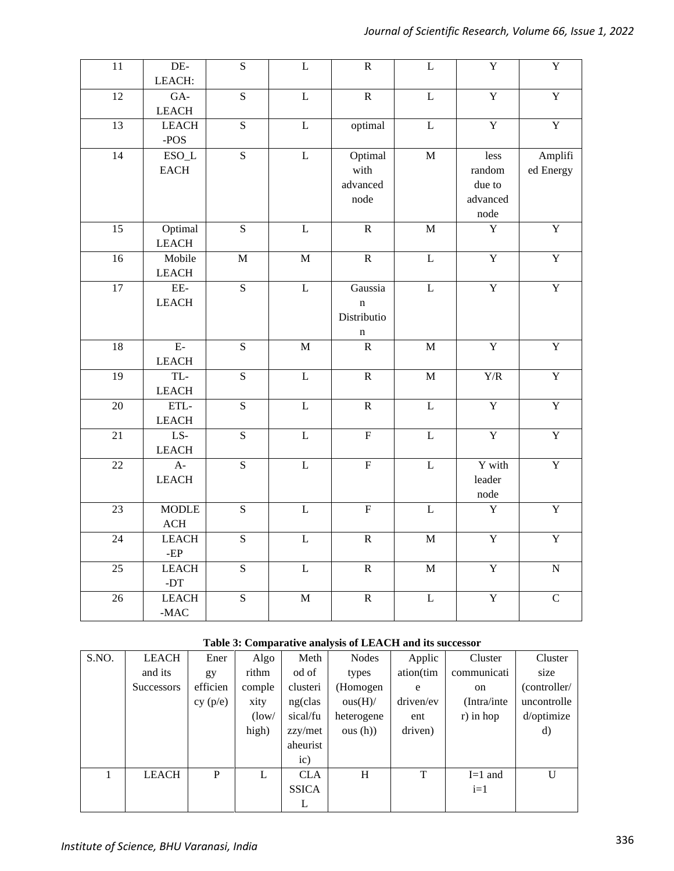| $\overline{11}$ | $DE-$<br>LEACH:                        | $\overline{S}$          | $\overline{\text{L}}$   | $\overline{R}$                                       | $\overline{L}$          | $\overline{\textbf{Y}}$                      | $\overline{\mathbf{Y}}$ |
|-----------------|----------------------------------------|-------------------------|-------------------------|------------------------------------------------------|-------------------------|----------------------------------------------|-------------------------|
| 12              | $GA-$<br><b>LEACH</b>                  | $\overline{S}$          | $\overline{L}$          | $\overline{R}$                                       | $\overline{\mathbf{L}}$ | Y                                            | $\overline{Y}$          |
| 13              | <b>LEACH</b><br>$-POS$                 | $\overline{S}$          | $\overline{L}$          | optimal                                              | $\overline{L}$          | $\overline{Y}$                               | $\overline{Y}$          |
| $\overline{14}$ | $ESO_L$<br>$_{\rm EACH}$               | $\overline{S}$          | $\overline{L}$          | Optimal<br>with<br>advanced<br>node                  | $\mathbf M$             | less<br>random<br>due to<br>advanced<br>node | Amplifi<br>ed Energy    |
| $\overline{15}$ | Optimal<br><b>LEACH</b>                | $\overline{S}$          | $\overline{\mathbf{L}}$ | $\overline{R}$                                       | $\mathbf M$             | $\overline{Y}$                               | $\overline{\textbf{Y}}$ |
| $\overline{16}$ | Mobile<br><b>LEACH</b>                 | $\mathbf M$             | $\overline{M}$          | $\overline{R}$                                       | $\overline{L}$          | $\overline{Y}$                               | $\overline{Y}$          |
| 17              | EE-<br><b>LEACH</b>                    | $\overline{\mathbf{S}}$ | $\overline{\text{L}}$   | Gaussia<br>$\mathbf n$<br>Distributio<br>$\mathbf n$ | $\overline{L}$          | $\overline{\mathbf{Y}}$                      | $\overline{\mathbf{Y}}$ |
| 18              | $E-$<br>${\rm LEACH}$                  | ${\bf S}$               | $\mathbf M$             | ${\bf R}$                                            | $\mathbf M$             | $\overline{\mathbf{Y}}$                      | Y                       |
| $\overline{19}$ | TL-<br>${\rm LEACH}$                   | $\overline{S}$          | $\mathbf L$             | ${\bf R}$                                            | $\mathbf M$             | $\rm Y/R$                                    | $\overline{\mathbf{Y}}$ |
| $\overline{20}$ | $\operatorname{ETL-}$<br><b>LEACH</b>  | $\overline{S}$          | $\overline{L}$          | $\overline{R}$                                       | $\overline{L}$          | $\overline{\textbf{Y}}$                      | $\overline{\textbf{Y}}$ |
| 21              | $LS-$<br><b>LEACH</b>                  | $\overline{S}$          | $\overline{\mathbf{L}}$ | $\overline{\mathrm{F}}$                              | $\overline{\mathbf{L}}$ | $\overline{\mathbf{Y}}$                      | $\overline{\mathbf{Y}}$ |
| $\overline{22}$ | $\overline{A}$ -<br><b>LEACH</b>       | $\overline{S}$          | $\overline{L}$          | $\overline{F}$                                       | $\overline{L}$          | Y with<br>leader<br>node                     | $\overline{\textbf{Y}}$ |
| 23              | <b>MODLE</b><br>$\rm ACH$              | $\overline{S}$          | $\overline{L}$          | $\overline{F}$                                       | $\overline{L}$          | $\overline{Y}$                               | $\overline{Y}$          |
| 24              | <b>LEACH</b><br>-EP                    | $\overline{S}$          | $\overline{L}$          | $\overline{R}$                                       | $\overline{\mathbf{M}}$ | $\overline{Y}$                               | $\overline{Y}$          |
| $\overline{25}$ | <b>LEACH</b><br>-DT                    | $\overline{S}$          | $\overline{L}$          | $\overline{R}$                                       | $\overline{M}$          | $\overline{\mathbf{Y}}$                      | $\overline{N}$          |
| $\overline{26}$ | <b>LEACH</b><br>$\mbox{-}\mathrm{MAC}$ | $\overline{S}$          | $\mathbf M$             | $\overline{R}$                                       | $\overline{L}$          | $\overline{\textbf{Y}}$                      | $\overline{C}$          |

# **Table 3: Comparative analysis of LEACH and its successor**

| S.NO. | <b>LEACH</b>      | Ener     | Algo   | Meth         | <b>Nodes</b> | Applic    | Cluster      | Cluster      |
|-------|-------------------|----------|--------|--------------|--------------|-----------|--------------|--------------|
|       | and its           | gy       | rithm  | od of        | types        | ation(tim | communicati  | size         |
|       | <b>Successors</b> | efficien | comple | clusteri     | (Homogen     | e         | on           | (controller/ |
|       |                   | cy (p/e) | xity   | ng(clas)     | ous(H)/      | driven/ev | (Intra/inte) | uncontrolle  |
|       |                   |          | (low/  | sical/fu     | heterogene   | ent       | $r$ ) in hop | d/optimize   |
|       |                   |          | high)  | zzy/met      | ous(h))      | driven)   |              | d)           |
|       |                   |          |        | aheurist     |              |           |              |              |
|       |                   |          |        | ic)          |              |           |              |              |
|       | <b>LEACH</b>      | P        | L      | <b>CLA</b>   | H            | T         | $I=1$ and    | U            |
|       |                   |          |        | <b>SSICA</b> |              |           | $i=1$        |              |
|       |                   |          |        | L            |              |           |              |              |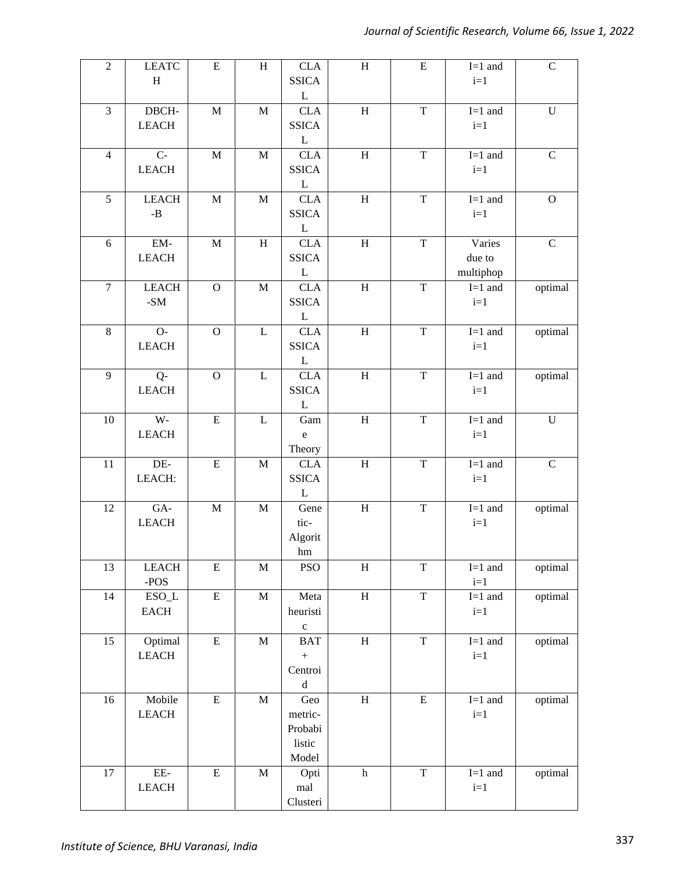| $\overline{2}$ | <b>LEATC</b>          | ${\bf E}$   | $\, {\rm H}$ | <b>CLA</b>               | $\, {\rm H}$              | ${\bf E}$               | $I=1$ and | $\mathbf C$  |
|----------------|-----------------------|-------------|--------------|--------------------------|---------------------------|-------------------------|-----------|--------------|
|                | H                     |             |              | <b>SSICA</b>             |                           |                         | $i=1$     |              |
|                |                       |             |              | $\mathbf{L}$             |                           |                         |           |              |
| $\overline{3}$ | DBCH-                 | $\mathbf M$ | $\mathbf M$  | <b>CLA</b>               | $\, {\rm H}$              | T                       | $I=1$ and | $\mathbf U$  |
|                | <b>LEACH</b>          |             |              | <b>SSICA</b>             |                           |                         | $i=1$     |              |
|                |                       |             |              | L                        |                           |                         |           |              |
| $\overline{4}$ | $C-$                  | $\mathbf M$ | $\mathbf M$  | <b>CLA</b>               | $\, {\rm H}$              | $\overline{\mathrm{T}}$ | $I=1$ and | $\mathbf C$  |
|                | <b>LEACH</b>          |             |              | <b>SSICA</b>             |                           |                         | $i=1$     |              |
|                |                       |             |              | $\mathbf L$              |                           |                         |           |              |
| 5              | <b>LEACH</b>          | $\mathbf M$ | $\mathbf M$  | <b>CLA</b>               | $\, {\rm H}$              | $\mathbf T$             | $I=1$ and | $\mathbf{O}$ |
|                | $\mbox{-}\mathbf{B}$  |             |              | <b>SSICA</b>             |                           |                         | $i=1$     |              |
|                |                       |             |              | $\mathbf{L}$             |                           |                         |           |              |
| 6              | $EM-$                 | $\mathbf M$ | H            | <b>CLA</b>               | $\mathbf H$               | $\overline{T}$          | Varies    | $\mathsf{C}$ |
|                | <b>LEACH</b>          |             |              | <b>SSICA</b>             |                           |                         | due to    |              |
|                |                       |             |              | L                        |                           |                         | multiphop |              |
| $\overline{7}$ | <b>LEACH</b>          | $\mathbf O$ | $\mathbf M$  | <b>CLA</b>               | $\, {\rm H}$              | $\mathbf T$             | $I=1$ and | optimal      |
|                | $\mbox{-}\mathrm{SM}$ |             |              | <b>SSICA</b>             |                           |                         | $i=1$     |              |
|                |                       |             |              | L                        |                           |                         |           |              |
| $\,8\,$        | $O-$                  | $\mathbf O$ | L            | <b>CLA</b>               | $\, {\rm H}$              | $\mathbf T$             | $I=1$ and | optimal      |
|                | <b>LEACH</b>          |             |              | <b>SSICA</b>             |                           |                         | $i=1$     |              |
|                |                       |             |              | L                        |                           |                         |           |              |
| 9              | $Q -$                 | $\mathbf O$ | $\mathbf L$  | <b>CLA</b>               | $\overline{H}$            | $\overline{T}$          | $I=1$ and | optimal      |
|                | <b>LEACH</b>          |             |              | <b>SSICA</b>             |                           |                         | $i=1$     |              |
|                |                       |             |              | $\mathbf{L}$             |                           |                         |           |              |
| 10             | $W -$                 | ${\bf E}$   | $\mathbf{L}$ | Gam                      | $\, {\rm H}$              | $\mathbf T$             | $I=1$ and | $\mathbf U$  |
|                | <b>LEACH</b>          |             |              | ${\bf e}$                |                           |                         | $i=1$     |              |
|                |                       |             |              | Theory                   |                           |                         |           |              |
| $11\,$         | $DE-$                 | ${\bf E}$   | $\mathbf M$  | $\overline{\text{CL}}$ A | $\mathbf H$               | $\overline{T}$          | $I=1$ and | $\mathbf C$  |
|                | LEACH:                |             |              | <b>SSICA</b>             |                           |                         | $i=1$     |              |
|                |                       |             |              | $\mathbf{L}$             |                           |                         |           |              |
| 12             | GA-                   | $\mathbf M$ | $\mathbf M$  | Gene                     | $\boldsymbol{\mathrm{H}}$ | $\mathbf T$             | $I=1$ and | optimal      |
|                | <b>LEACH</b>          |             |              | tic-                     |                           |                         | $i=1$     |              |
|                |                       |             |              | Algorit                  |                           |                         |           |              |
|                |                       |             |              | $\rm{hm}$                |                           |                         |           |              |
| 13             | <b>LEACH</b>          | ${\bf E}$   | $\mathbf M$  | <b>PSO</b>               | $\overline{\mathbf{H}}$   | $\overline{T}$          | $I=1$ and | optimal      |
|                | $-POS$                |             |              |                          |                           |                         | $i=1$     |              |
| 14             | $ESO_L$               | ${\bf E}$   | $\mathbf M$  | Meta                     | $\mathbf H$               | $\mathbf T$             | $I=1$ and | optimal      |
|                | <b>EACH</b>           |             |              | heuristi                 |                           |                         | $i=1$     |              |
|                |                       |             |              | $\mathbf c$              |                           |                         |           |              |
| 15             | Optimal               | ${\bf E}$   | $\mathbf M$  | <b>BAT</b>               | $\, {\rm H}$              | $\mathbf T$             | $I=1$ and | optimal      |
|                | ${\rm LEACH}$         |             |              | $\boldsymbol{+}$         |                           |                         | $i=1$     |              |
|                |                       |             |              | Centroi                  |                           |                         |           |              |
|                |                       |             |              | ${\rm d}$                |                           |                         |           |              |
| 16             | Mobile                | ${\bf E}$   | $\mathbf M$  | Geo                      | $\, {\rm H}$              | ${\bf E}$               | $I=1$ and | optimal      |
|                | <b>LEACH</b>          |             |              | metric-                  |                           |                         | $i=1$     |              |
|                |                       |             |              | Probabi                  |                           |                         |           |              |
|                |                       |             |              | listic                   |                           |                         |           |              |
|                |                       |             |              | Model                    |                           |                         |           |              |
| 17             | $EE-$                 | ${\bf E}$   | $\mathbf M$  | Opti                     | $\boldsymbol{\textbf{h}}$ | $\overline{T}$          | $I=1$ and | optimal      |
|                | ${\rm LEACH}$         |             |              | mal                      |                           |                         | $i=1$     |              |
|                |                       |             |              | Clusteri                 |                           |                         |           |              |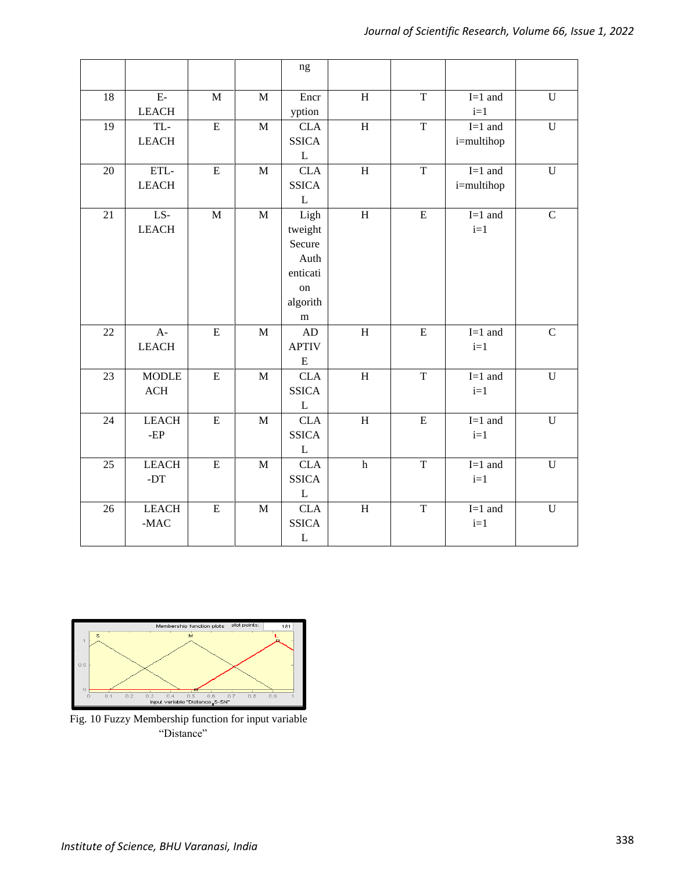|        |                 |             |              | $\rm ng$                   |                           |                |                      |                |
|--------|-----------------|-------------|--------------|----------------------------|---------------------------|----------------|----------------------|----------------|
| $18\,$ | $E-$            | $\mathbf M$ | $\mathbf M$  | Encr                       | $\overline{H}$            | $\overline{T}$ | $I=1$ and            | ${\bf U}$      |
|        | <b>LEACH</b>    |             |              | yption                     |                           |                | $i=1$                |                |
| 19     | TL-             | ${\bf E}$   | $\mathbf{M}$ | <b>CLA</b>                 | $\mathbf H$               | $\overline{T}$ | $I=1$ and            | ${\bf U}$      |
|        | <b>LEACH</b>    |             |              | <b>SSICA</b>               |                           |                | i=multihop           |                |
|        |                 |             |              | L                          |                           |                |                      |                |
| 20     | ETL-            | ${\bf E}$   | M            | <b>CLA</b>                 | $\mathbf H$               | T              | $I=1$ and            | $\mathbf U$    |
|        | <b>LEACH</b>    |             |              | <b>SSICA</b>               |                           |                | i=multihop           |                |
|        |                 |             |              | $\mathbf{L}$               |                           |                |                      |                |
| 21     | $\overline{LS}$ | $\mathbf M$ | M            | Ligh                       | H                         | $\overline{E}$ | $I=1$ and            | $\mathsf{C}$   |
|        | <b>LEACH</b>    |             |              | tweight                    |                           |                | $i=1$                |                |
|        |                 |             |              | Secure                     |                           |                |                      |                |
|        |                 |             |              | Auth                       |                           |                |                      |                |
|        |                 |             |              | enticati                   |                           |                |                      |                |
|        |                 |             |              | on                         |                           |                |                      |                |
|        |                 |             |              | algorith                   |                           |                |                      |                |
|        |                 |             |              | m                          |                           |                |                      |                |
| 22     | $A-$            | ${\bf E}$   | M            | AD                         | $\mathbf H$               | ${\bf E}$      | $I=1$ and            | $\mathbf C$    |
|        | <b>LEACH</b>    |             |              | <b>APTIV</b>               |                           |                | $i=1$                |                |
|        |                 |             |              | ${\bf E}$                  |                           |                |                      |                |
| 23     | <b>MODLE</b>    | ${\bf E}$   | M            | <b>CLA</b>                 | $\mathbf H$               | $\overline{T}$ | $\overline{I=1}$ and | $\mathbf U$    |
|        | ACH             |             |              | <b>SSICA</b>               |                           |                | $i=1$                |                |
|        |                 |             |              | $\mathbf L$                |                           |                |                      |                |
| 24     | <b>LEACH</b>    | ${\bf E}$   | $\mathbf{M}$ | <b>CLA</b>                 | $\mathbf H$               | ${\bf E}$      | $I=1$ and            | ${\bf U}$      |
|        | $-EP$           |             |              | <b>SSICA</b>               |                           |                | $i=1$                |                |
|        | <b>LEACH</b>    |             |              | $\mathbf L$                |                           | $\mathbf T$    | $I=1$ and            |                |
| 25     | $-DT$           | ${\bf E}$   | $\mathbf M$  | <b>CLA</b><br><b>SSICA</b> | $\boldsymbol{\textbf{h}}$ |                | $i=1$                | ${\bf U}$      |
|        |                 |             |              |                            |                           |                |                      |                |
| 26     | <b>LEACH</b>    | ${\bf E}$   | $\mathbf{M}$ | $\mathbf L$<br><b>CLA</b>  | $\overline{H}$            | $\overline{T}$ | $I=1$ and            | $\overline{U}$ |
|        | $-MAC$          |             |              | <b>SSICA</b>               |                           |                | $i=1$                |                |
|        |                 |             |              | $\mathbf L$                |                           |                |                      |                |
|        |                 |             |              |                            |                           |                |                      |                |



Fig. 10 Fuzzy Membership function for input variable "Distance"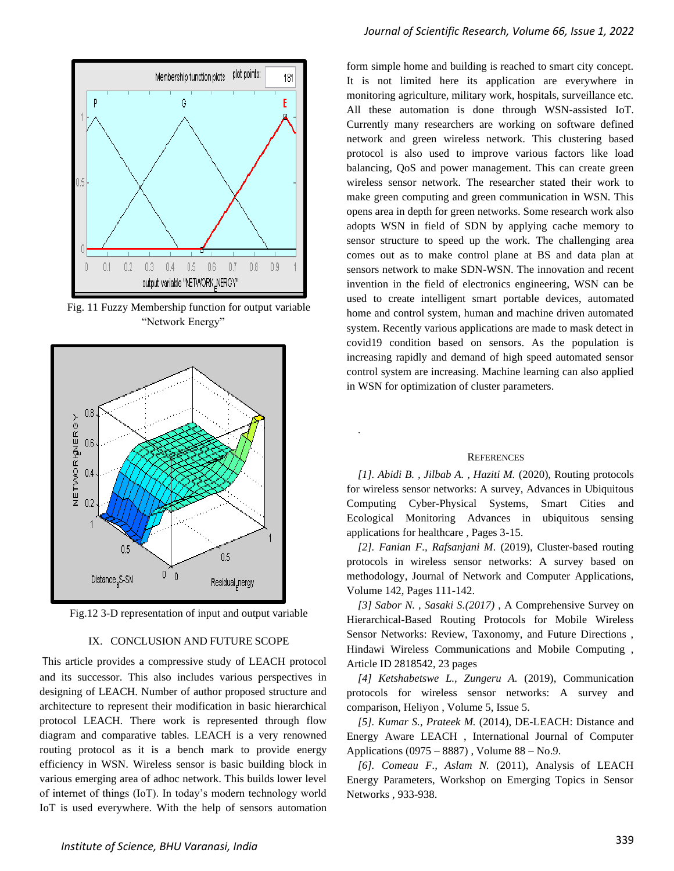

Fig. 11 Fuzzy Membership function for output variable "Network Energy"



Fig.12 3-D representation of input and output variable

#### IX. CONCLUSION AND FUTURE SCOPE

This article provides a compressive study of LEACH protocol and its successor. This also includes various perspectives in designing of LEACH. Number of author proposed structure and architecture to represent their modification in basic hierarchical protocol LEACH. There work is represented through flow diagram and comparative tables. LEACH is a very renowned routing protocol as it is a bench mark to provide energy efficiency in WSN. Wireless sensor is basic building block in various emerging area of adhoc network. This builds lower level of internet of things (IoT). In today's modern technology world IoT is used everywhere. With the help of sensors automation

form simple home and building is reached to smart city concept. It is not limited here its application are everywhere in monitoring agriculture, military work, hospitals, surveillance etc. All these automation is done through WSN-assisted IoT. Currently many researchers are working on software defined network and green wireless network. This clustering based protocol is also used to improve various factors like load balancing, QoS and power management. This can create green wireless sensor network. The researcher stated their work to make green computing and green communication in WSN. This opens area in depth for green networks. Some research work also adopts WSN in field of SDN by applying cache memory to sensor structure to speed up the work. The challenging area comes out as to make control plane at BS and data plan at sensors network to make SDN-WSN. The innovation and recent invention in the field of electronics engineering, WSN can be used to create intelligent smart portable devices, automated home and control system, human and machine driven automated system. Recently various applications are made to mask detect in covid19 condition based on sensors. As the population is increasing rapidly and demand of high speed automated sensor control system are increasing. Machine learning can also applied in WSN for optimization of cluster parameters.

#### **REFERENCES**

.

*[1]. Abidi B. , Jilbab A. , Haziti M.* (2020), Routing protocols for wireless sensor networks: A survey, Advances in Ubiquitous Computing Cyber-Physical Systems, Smart Cities and Ecological Monitoring Advances in ubiquitous sensing applications for healthcare , Pages 3-15.

*[2]. Fanian F., Rafsanjani M.* (2019), Cluster-based routing protocols in wireless sensor networks: A survey based on methodology, Journal of Network and Computer Applications, Volume 142, Pages 111-142.

*[3] Sabor N. , Sasaki S.(2017)* , A Comprehensive Survey on Hierarchical-Based Routing Protocols for Mobile Wireless Sensor Networks: Review, Taxonomy, and Future Directions , Hindawi Wireless Communications and Mobile Computing , Article ID 2818542, 23 pages

*[4] Ketshabetswe L., Zungeru A.* (2019), Communication protocols for wireless sensor networks: A survey and comparison, Heliyon , Volume 5, Issue 5.

*[5]. Kumar S., Prateek M.* (2014), DE-LEACH: Distance and Energy Aware LEACH , International Journal of Computer Applications (0975 – 8887) , Volume 88 – No.9.

*[6]. Comeau F., Aslam N.* (2011), Analysis of LEACH Energy Parameters, Workshop on Emerging Topics in Sensor Networks , 933-938.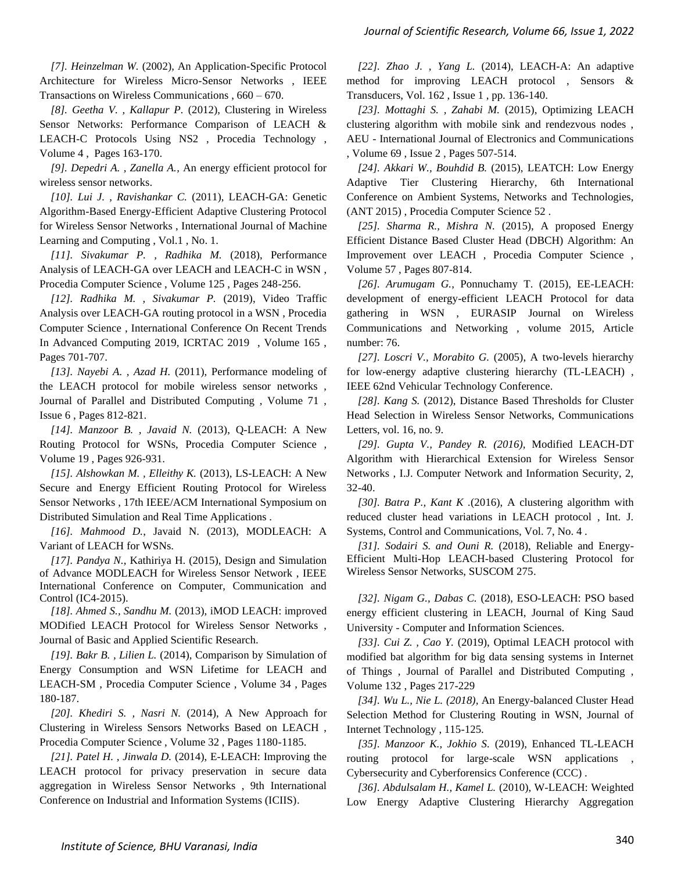*[7]. Heinzelman W.* (2002), An Application-Specific Protocol Architecture for Wireless Micro-Sensor Networks , IEEE Transactions on Wireless Communications , 660 – 670.

*[8]. Geetha V. , Kallapur P.* (2012), Clustering in Wireless Sensor Networks: Performance Comparison of LEACH & LEACH-C Protocols Using NS2 , Procedia Technology , Volume 4 , Pages 163-170.

*[9]. Depedri A. , Zanella A.,* An energy efficient protocol for wireless sensor networks.

*[10]. Lui J. , Ravishankar C.* (2011), LEACH-GA: Genetic Algorithm-Based Energy-Efficient Adaptive Clustering Protocol for Wireless Sensor Networks , International Journal of Machine Learning and Computing , Vol.1 , No. 1.

*[11]. Sivakumar P. , Radhika M.* (2018), Performance Analysis of LEACH-GA over LEACH and LEACH-C in WSN , Procedia Computer Science , Volume 125 , Pages 248-256.

*[12]. Radhika M. , Sivakumar P.* (2019), Video Traffic Analysis over LEACH-GA routing protocol in a WSN , Procedia Computer Science , International Conference On Recent Trends In Advanced Computing 2019, ICRTAC 2019 , Volume 165 , Pages 701-707.

*[13]. Nayebi A. , Azad H.* (2011), Performance modeling of the LEACH protocol for mobile wireless sensor networks , Journal of Parallel and Distributed Computing , Volume 71 , Issue 6 , Pages 812-821.

*[14]. Manzoor B. , Javaid N.* (2013), Q-LEACH: A New Routing Protocol for WSNs, Procedia Computer Science , Volume 19 , Pages 926-931.

*[15]. Alshowkan M. , Elleithy K.* (2013), LS-LEACH: A New Secure and Energy Efficient Routing Protocol for Wireless Sensor Networks , 17th IEEE/ACM International Symposium on Distributed Simulation and Real Time Applications .

*[16]. Mahmood D.*, Javaid N. (2013), MODLEACH: A Variant of LEACH for WSNs.

*[17]. Pandya N.*, Kathiriya H. (2015), Design and Simulation of Advance MODLEACH for Wireless Sensor Network , IEEE International Conference on Computer, Communication and Control (IC4-2015).

*[18]. Ahmed S., Sandhu M.* (2013), iMOD LEACH: improved MODified LEACH Protocol for Wireless Sensor Networks , Journal of Basic and Applied Scientific Research.

*[19]. Bakr B. , Lilien L.* (2014), Comparison by Simulation of Energy Consumption and WSN Lifetime for LEACH and LEACH-SM , Procedia Computer Science , Volume 34 , Pages 180-187.

*[20]. Khediri S. , Nasri N.* (2014), A New Approach for Clustering in Wireless Sensors Networks Based on LEACH , Procedia Computer Science , Volume 32 , Pages 1180-1185.

*[21]. Patel H. , Jinwala D.* (2014), E-LEACH: Improving the LEACH protocol for privacy preservation in secure data aggregation in Wireless Sensor Networks , 9th International Conference on Industrial and Information Systems (ICIIS).

*[22]. Zhao J. , Yang L.* (2014), LEACH-A: An adaptive method for improving LEACH protocol , Sensors & Transducers, Vol. 162 , Issue 1 , pp. 136-140.

*[23]. Mottaghi S. , Zahabi M.* (2015), Optimizing LEACH clustering algorithm with mobile sink and rendezvous nodes , AEU - International Journal of Electronics and Communications , Volume 69 , Issue 2 , Pages 507-514.

*[24]. Akkari W., Bouhdid B.* (2015), LEATCH: Low Energy Adaptive Tier Clustering Hierarchy, 6th International Conference on Ambient Systems, Networks and Technologies, (ANT 2015) , Procedia Computer Science 52 .

*[25]. Sharma R., Mishra N.* (2015), A proposed Energy Efficient Distance Based Cluster Head (DBCH) Algorithm: An Improvement over LEACH , Procedia Computer Science , Volume 57 , Pages 807-814.

*[26]. Arumugam G.*, Ponnuchamy T. (2015), EE-LEACH: development of energy-efficient LEACH Protocol for data gathering in WSN , EURASIP Journal on Wireless Communications and Networking , volume 2015, Article number: 76.

*[27]. Loscri V., Morabito G.* (2005), A two-levels hierarchy for low-energy adaptive clustering hierarchy (TL-LEACH) , IEEE 62nd Vehicular Technology Conference.

*[28]. Kang S.* (2012), Distance Based Thresholds for Cluster Head Selection in Wireless Sensor Networks, Communications Letters, vol. 16, no. 9.

*[29]. Gupta V., Pandey R. (2016),* Modified LEACH-DT Algorithm with Hierarchical Extension for Wireless Sensor Networks , I.J. Computer Network and Information Security, 2, 32-40.

*[30]. Batra P., Kant K .*(2016), A clustering algorithm with reduced cluster head variations in LEACH protocol , Int. J. Systems, Control and Communications, Vol. 7, No. 4 .

*[31]. Sodairi S. and Ouni R.* (2018), Reliable and Energy-Efficient Multi-Hop LEACH-based Clustering Protocol for Wireless Sensor Networks, SUSCOM 275.

*[32]. Nigam G., Dabas C.* (2018), ESO-LEACH: PSO based energy efficient clustering in LEACH, Journal of King Saud University - Computer and Information Sciences.

*[33]. Cui Z. , Cao Y.* (2019), Optimal LEACH protocol with modified bat algorithm for big data sensing systems in Internet of Things , Journal of Parallel and Distributed Computing , Volume 132 , Pages 217-229

*[34]. Wu L., Nie L. (2018),* An Energy-balanced Cluster Head Selection Method for Clustering Routing in WSN, Journal of Internet Technology , 115-125.

*[35]. Manzoor K., Jokhio S.* (2019), Enhanced TL-LEACH routing protocol for large-scale WSN applications Cybersecurity and Cyberforensics Conference (CCC) .

*[36]. Abdulsalam H., Kamel L.* (2010), W-LEACH: Weighted Low Energy Adaptive Clustering Hierarchy Aggregation